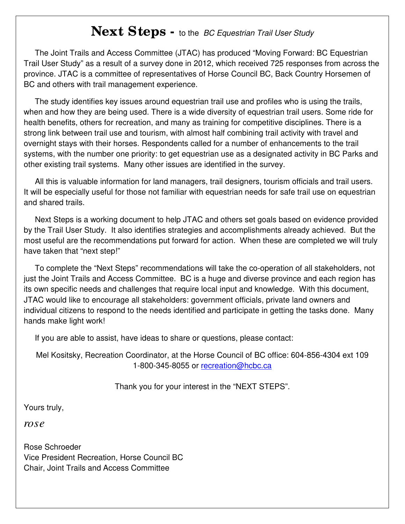## **Next Steps -** to the BC Equestrian Trail User Study

 The Joint Trails and Access Committee (JTAC) has produced "Moving Forward: BC Equestrian Trail User Study" as a result of a survey done in 2012, which received 725 responses from across the province. JTAC is a committee of representatives of Horse Council BC, Back Country Horsemen of BC and others with trail management experience.

 The study identifies key issues around equestrian trail use and profiles who is using the trails, when and how they are being used. There is a wide diversity of equestrian trail users. Some ride for health benefits, others for recreation, and many as training for competitive disciplines. There is a strong link between trail use and tourism, with almost half combining trail activity with travel and overnight stays with their horses. Respondents called for a number of enhancements to the trail systems, with the number one priority: to get equestrian use as a designated activity in BC Parks and other existing trail systems. Many other issues are identified in the survey.

 All this is valuable information for land managers, trail designers, tourism officials and trail users. It will be especially useful for those not familiar with equestrian needs for safe trail use on equestrian and shared trails.

 Next Steps is a working document to help JTAC and others set goals based on evidence provided by the Trail User Study. It also identifies strategies and accomplishments already achieved. But the most useful are the recommendations put forward for action. When these are completed we will truly have taken that "next step!"

 To complete the "Next Steps" recommendations will take the co-operation of all stakeholders, not just the Joint Trails and Access Committee. BC is a huge and diverse province and each region has its own specific needs and challenges that require local input and knowledge. With this document, JTAC would like to encourage all stakeholders: government officials, private land owners and individual citizens to respond to the needs identified and participate in getting the tasks done. Many hands make light work!

If you are able to assist, have ideas to share or questions, please contact:

Mel Kositsky, Recreation Coordinator, at the Horse Council of BC office: 604-856-4304 ext 109 1-800-345-8055 or recreation@hcbc.ca

Thank you for your interest in the "NEXT STEPS".

Yours truly,

*rose*

Rose Schroeder Vice President Recreation, Horse Council BC Chair, Joint Trails and Access Committee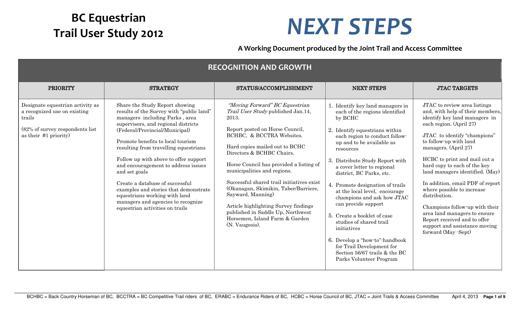## **BC Equestrian**

## **Trail User Study 2012 NEXT STEPS**

**A Working Document produced by the Joint Trail and Access Committee**

| <b>RECOGNITION AND GROWTH</b>                                                                                                             |                                                                                                                                                                                                                                                                                                                                                                                                                                                                                                                                                            |                                                                                                                                                                                                                                                                                                                                                                                                                                                                                                                                   |                                                                                                                                                                                                                                                                                                                                                                                                                                                                                                                                                                                                                        |                                                                                                                                                                                                                                                                                                                                                                                                                                                                                                                                                                |  |
|-------------------------------------------------------------------------------------------------------------------------------------------|------------------------------------------------------------------------------------------------------------------------------------------------------------------------------------------------------------------------------------------------------------------------------------------------------------------------------------------------------------------------------------------------------------------------------------------------------------------------------------------------------------------------------------------------------------|-----------------------------------------------------------------------------------------------------------------------------------------------------------------------------------------------------------------------------------------------------------------------------------------------------------------------------------------------------------------------------------------------------------------------------------------------------------------------------------------------------------------------------------|------------------------------------------------------------------------------------------------------------------------------------------------------------------------------------------------------------------------------------------------------------------------------------------------------------------------------------------------------------------------------------------------------------------------------------------------------------------------------------------------------------------------------------------------------------------------------------------------------------------------|----------------------------------------------------------------------------------------------------------------------------------------------------------------------------------------------------------------------------------------------------------------------------------------------------------------------------------------------------------------------------------------------------------------------------------------------------------------------------------------------------------------------------------------------------------------|--|
| <b>PRIORITY</b>                                                                                                                           | <b>STRATEGY</b>                                                                                                                                                                                                                                                                                                                                                                                                                                                                                                                                            | STATUS/ACCOMPLISHMENT                                                                                                                                                                                                                                                                                                                                                                                                                                                                                                             | <b>NEXT STEPS</b>                                                                                                                                                                                                                                                                                                                                                                                                                                                                                                                                                                                                      | <b>JTAC TARGETS</b>                                                                                                                                                                                                                                                                                                                                                                                                                                                                                                                                            |  |
| Designate equestrian activity as<br>a recognized use on existing<br>trails<br>(82% of survey respondents list)<br>as their $#1$ priority) | Share the Study Report showing<br>results of the Survey with "public land"<br>managers including Parks, area<br>supervisors, and regional districts<br>(Federal/Provincial/Municipal)<br>Promote benefits to local tourism<br>resulting from travelling equestrians<br>Follow up with above to offer support<br>and encouragement to address issues<br>and set goals<br>Create a database of successful<br>examples and stories that demonstrate<br>equestrians working with land<br>managers and agencies to recognize<br>equestrian activities on trails | "Moving Forward" BC Equestrian<br>Trail User Study published Jan.14,<br>2013.<br>Report posted on Horse Council,<br>BCHBC, & BCCTRA Websites.<br>Hard copies mailed out to BCHC<br>Directors & BCHBC Chairs.<br>Horse Council has provided a listing of<br>municipalities and regions.<br>Successful shared trail initiatives exist<br>(Okanagan, Skimikin, Taber/Barriere,<br>Sayward, Manning)<br>Article highlighting Survey findings<br>published in Saddle Up, Northwest<br>Horsemen, Island Farm & Garden<br>(N. Vaugeois). | 1. Identify key land managers in<br>each of the regions identified<br>by BCHC<br>2. Identify equestrians within<br>each region to conduct follow-<br>up and to be available as<br>resources<br>3. Distribute Study Report with<br>a cover letter to regional<br>district, BC Parks, etc.<br>4. Promote designation of trails<br>at the local level, encourage<br>champions and ask how JTAC<br>can provide support<br>5. Create a booklet of case<br>studies of shared trail<br>initiatives<br>6. Develop a "how-to"-handbook<br>for Trail Development for<br>Section 56/67 trails & the BC<br>Parks Volunteer Program | JTAC to review area listings<br>and, with help of their members,<br>identify key land managers in<br>each region. (April 27)<br>JTAC to identify "champions"<br>to follow-up with land<br>managers. (April 27)<br>HCBC to print and mail out a<br>hard copy to each of the key<br>land managers identified. (May)<br>In addition, email PDF of report<br>where possible to increase<br>distribution.<br>Champions follow-up with their<br>area land managers to ensure<br>Report received and to offer<br>support and assistance moving<br>forward (May -Sept) |  |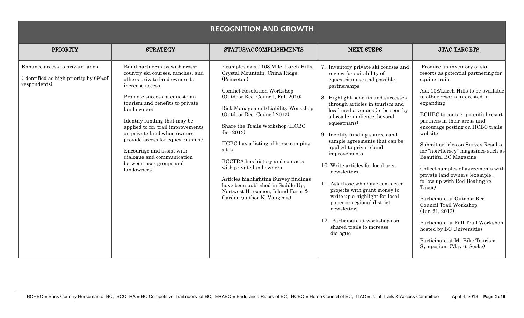|                                                                                          |                                                                                                                                                                                                                                                                                                                                                                                                                                                         | <b>RECOGNITION AND GROWTH</b>                                                                                                                                                                                                                                                                                                                                                                                                                                                                                                                             |                                                                                                                                                                                                                                                                                                                                                                                                                                                                                                                                                                                                                                                                                  |                                                                                                                                                                                                                                                                                                                                                                                                                                                                                                                                                                                                                                                                                                                                 |
|------------------------------------------------------------------------------------------|---------------------------------------------------------------------------------------------------------------------------------------------------------------------------------------------------------------------------------------------------------------------------------------------------------------------------------------------------------------------------------------------------------------------------------------------------------|-----------------------------------------------------------------------------------------------------------------------------------------------------------------------------------------------------------------------------------------------------------------------------------------------------------------------------------------------------------------------------------------------------------------------------------------------------------------------------------------------------------------------------------------------------------|----------------------------------------------------------------------------------------------------------------------------------------------------------------------------------------------------------------------------------------------------------------------------------------------------------------------------------------------------------------------------------------------------------------------------------------------------------------------------------------------------------------------------------------------------------------------------------------------------------------------------------------------------------------------------------|---------------------------------------------------------------------------------------------------------------------------------------------------------------------------------------------------------------------------------------------------------------------------------------------------------------------------------------------------------------------------------------------------------------------------------------------------------------------------------------------------------------------------------------------------------------------------------------------------------------------------------------------------------------------------------------------------------------------------------|
| <b>PRIORITY</b>                                                                          | <b>STRATEGY</b>                                                                                                                                                                                                                                                                                                                                                                                                                                         | STATUS/ACCOMPLISHMENTS                                                                                                                                                                                                                                                                                                                                                                                                                                                                                                                                    | <b>NEXT STEPS</b>                                                                                                                                                                                                                                                                                                                                                                                                                                                                                                                                                                                                                                                                | <b>JTAC TARGETS</b>                                                                                                                                                                                                                                                                                                                                                                                                                                                                                                                                                                                                                                                                                                             |
| Enhance access to private lands<br>(Identified as high priority by 69%of<br>respondents) | Build partnerships with cross-<br>country ski courses, ranches, and<br>others private land owners to<br>increase access<br>Promote success of equestrian<br>tourism and benefits to private<br>land owners<br>Identify funding that may be<br>applied to for trail improvements<br>on private land when owners<br>provide access for equestrian use<br>Encourage and assist with<br>dialogue and communication<br>between user groups and<br>landowners | Examples exist: 108 Mile, Larch Hills,<br>Crystal Mountain, China Ridge<br>(Princeton)<br><b>Conflict Resolution Workshop</b><br>(Outdoor Rec. Council, Fall 2010)<br>Risk Management/Liability Workshop<br>(Outdoor Rec. Council 2012)<br>Share the Trails Workshop (HCBC<br>Jan 2013)<br>HCBC has a listing of horse camping<br>sites<br>BCCTRA has history and contacts<br>with private land owners.<br>Articles highlighting Survey findings<br>have been published in Saddle Up,<br>Nortwest Horsemen, Island Farm &<br>Garden (author N. Vaugeois). | 7. Inventory private ski courses and<br>review for suitability of<br>equestrian use and possible<br>partnerships<br>8. Highlight benefits and successes<br>through articles in tourism and<br>local media venues (to be seen by<br>a broader audience, beyond<br>equestrians)<br>9. Identify funding sources and<br>sample agreements that can be<br>applied to private land<br>improvements<br>10. Write articles for local area<br>newsletters.<br>11. Ask those who have completed<br>projects with grant money to<br>write up a highlight for local<br>paper or regional district<br>newsletter.<br>12. Participate at workshops on<br>shared trails to increase<br>dialogue | Produce an inventory of ski<br>resorts as potential partnering for<br>equine trails<br>Ask 108/Larch Hills to be available<br>to other resorts interested in<br>expanding<br>BCHBC to contact potential resort<br>partners in their areas and<br>encourage posting on HCBC trails<br>website<br>Submit articles on Survey Results<br>for "non-horsey" magazines such as<br>Beautiful BC Magazine<br>Collect samples of agreements with<br>private land owners (example.<br>follow up with Rod Bealing re<br>Taper)<br>Participate at Outdoor Rec.<br>Council Trail Workshop<br>(Jun 21, 2013)<br>Participate at Fall Trail Workshop<br>hosted by BC Universities<br>Participate at Mt Bike Tourism<br>Symposium. (May 6, Sooke) |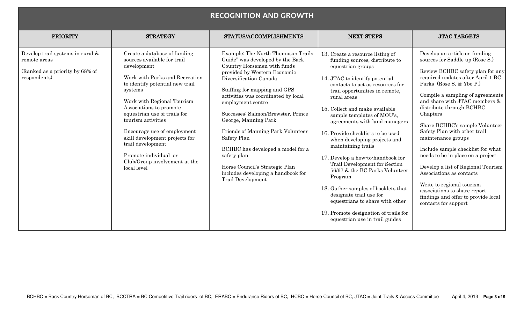|                                                                                                     |                                                                                                                                                                                                                                                                                                                                                                                                                                          | <b>RECOGNITION AND GROWTH</b>                                                                                                                                                                                                                                                                                                                                                                                                                                                                                                  |                                                                                                                                                                                                                                                                                                                                                                                                                                                                                                                                                                                                                                                                                                               |                                                                                                                                                                                                                                                                                                                                                                                                                                                                                                                                                                                                                                                     |
|-----------------------------------------------------------------------------------------------------|------------------------------------------------------------------------------------------------------------------------------------------------------------------------------------------------------------------------------------------------------------------------------------------------------------------------------------------------------------------------------------------------------------------------------------------|--------------------------------------------------------------------------------------------------------------------------------------------------------------------------------------------------------------------------------------------------------------------------------------------------------------------------------------------------------------------------------------------------------------------------------------------------------------------------------------------------------------------------------|---------------------------------------------------------------------------------------------------------------------------------------------------------------------------------------------------------------------------------------------------------------------------------------------------------------------------------------------------------------------------------------------------------------------------------------------------------------------------------------------------------------------------------------------------------------------------------------------------------------------------------------------------------------------------------------------------------------|-----------------------------------------------------------------------------------------------------------------------------------------------------------------------------------------------------------------------------------------------------------------------------------------------------------------------------------------------------------------------------------------------------------------------------------------------------------------------------------------------------------------------------------------------------------------------------------------------------------------------------------------------------|
| <b>PRIORITY</b>                                                                                     | <b>STRATEGY</b>                                                                                                                                                                                                                                                                                                                                                                                                                          | STATUS/ACCOMPLISHMENTS                                                                                                                                                                                                                                                                                                                                                                                                                                                                                                         | <b>NEXT STEPS</b>                                                                                                                                                                                                                                                                                                                                                                                                                                                                                                                                                                                                                                                                                             | <b>JTAC TARGETS</b>                                                                                                                                                                                                                                                                                                                                                                                                                                                                                                                                                                                                                                 |
| Develop trail systems in rural &<br>remote areas<br>(Ranked as a priority by 68% of<br>respondents) | Create a database of funding<br>sources available for trail<br>development<br>Work with Parks and Recreation<br>to identify potential new trail<br>systems<br>Work with Regional Tourism<br>Associations to promote<br>equestrian use of trails for<br>tourism activities<br>Encourage use of employment<br>skill development projects for<br>trail development<br>Promote individual or<br>Club/Group involvement at the<br>local level | Example: The North Thompson Trails<br>Guide" was developed by the Back<br>Country Horsemen with funds<br>provided by Western Economic<br>Diversification Canada<br>Staffing for mapping and GPS<br>activities was coordinated by local<br>employment centre<br>Successes: Salmon/Brewster, Prince<br>George, Manning Park<br>Friends of Manning Park Volunteer<br>Safety Plan<br>BCHBC has developed a model for a<br>safety plan<br>Horse Council's Strategic Plan<br>includes developing a handbook for<br>Trail Development | 13. Create a resource listing of<br>funding sources, distribute to<br>equestrian groups<br>14. JTAC to identify potential<br>contacts to act as resources for<br>trail opportunities in remote,<br>rural areas<br>15. Collect and make available<br>sample templates of MOU's,<br>agreements with land managers<br>16. Provide checklists to be used<br>when developing projects and<br>maintaining trails<br>17. Develop a how-to-handbook for<br>Trail Development for Section<br>56/67 & the BC Parks Volunteer<br>Program<br>18. Gather samples of booklets that<br>designate trail use for<br>equestrians to share with other<br>19. Promote designation of trails for<br>equestrian use in trail guides | Develop an article on funding<br>sources for Saddle up (Rose S.)<br>Review BCHBC safety plan for any<br>required updates after April 1 BC<br>Parks (Rose S. & Ybo P.)<br>Compile a sampling of agreements<br>and share with JTAC members &<br>distribute through BCHBC<br>Chapters<br>Share BCHBC's sample Volunteer<br>Safety Plan with other trail<br>maintenance groups<br>Include sample checklist for what<br>needs to be in place on a project.<br>Develop a list of Regional Tourism<br>Associations as contacts<br>Write to regional tourism<br>associations to share report<br>findings and offer to provide local<br>contacts for support |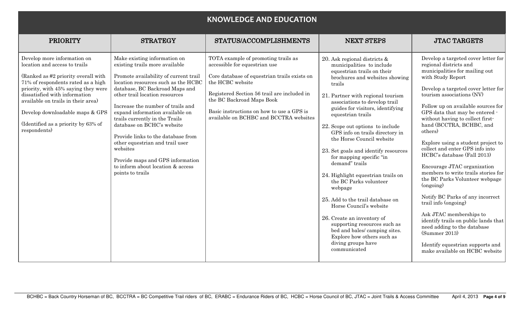|                                                                                                                                                                                                                                                                                                                                                   |                                                                                                                                                                                                                                                                                                                                                                                                                                                                                                                                              | <b>KNOWLEDGE AND EDUCATION</b>                                                                                                                                                                                                                                                                              |                                                                                                                                                                                                                                                                                                                                                                                                                                                                                                                                                                                                                                                                                                                                                                           |                                                                                                                                                                                                                                                                                                                                                                                                                                                                                                                                                                                                                                                                                                                                                                                                                               |
|---------------------------------------------------------------------------------------------------------------------------------------------------------------------------------------------------------------------------------------------------------------------------------------------------------------------------------------------------|----------------------------------------------------------------------------------------------------------------------------------------------------------------------------------------------------------------------------------------------------------------------------------------------------------------------------------------------------------------------------------------------------------------------------------------------------------------------------------------------------------------------------------------------|-------------------------------------------------------------------------------------------------------------------------------------------------------------------------------------------------------------------------------------------------------------------------------------------------------------|---------------------------------------------------------------------------------------------------------------------------------------------------------------------------------------------------------------------------------------------------------------------------------------------------------------------------------------------------------------------------------------------------------------------------------------------------------------------------------------------------------------------------------------------------------------------------------------------------------------------------------------------------------------------------------------------------------------------------------------------------------------------------|-------------------------------------------------------------------------------------------------------------------------------------------------------------------------------------------------------------------------------------------------------------------------------------------------------------------------------------------------------------------------------------------------------------------------------------------------------------------------------------------------------------------------------------------------------------------------------------------------------------------------------------------------------------------------------------------------------------------------------------------------------------------------------------------------------------------------------|
| <b>PRIORITY</b>                                                                                                                                                                                                                                                                                                                                   | <b>STRATEGY</b>                                                                                                                                                                                                                                                                                                                                                                                                                                                                                                                              | STATUS/ACCOMPLISHMENTS                                                                                                                                                                                                                                                                                      | <b>NEXT STEPS</b>                                                                                                                                                                                                                                                                                                                                                                                                                                                                                                                                                                                                                                                                                                                                                         | <b>JTAC TARGETS</b>                                                                                                                                                                                                                                                                                                                                                                                                                                                                                                                                                                                                                                                                                                                                                                                                           |
| Develop more information on<br>location and access to trails<br>(Ranked as #2 priority overall with<br>71% of respondents rated as a high<br>priority, with 45% saying they were<br>dissatisfied with information<br>available on trails in their area)<br>Develop downloadable maps & GPS<br>(Identified as a priority by 63% of<br>respondents) | Make existing information on<br>existing trails more available<br>Promote availability of current trail<br>location resources such as the HCBC<br>database, BC Backroad Maps and<br>other trail location resources<br>Increase the number of trails and<br>expand information available on<br>trails currently in the Trails<br>database on BCHC's website<br>Provide links to the database from<br>other equestrian and trail user<br>websites<br>Provide maps and GPS information<br>to inform about location & access<br>points to trails | TOTA example of promoting trails as<br>accessible for equestrian use<br>Core database of equestrian trails exists on<br>the HCBC website<br>Registered Section 56 trail are included in<br>the BC Backroad Maps Book<br>Basic instructions on how to use a GPS is<br>available on BCHBC and BCCTRA websites | 20. Ask regional districts &<br>municipalities to include<br>equestrian trails on their<br>brochures and websites showing<br>trails<br>21. Partner with regional tourism<br>associations to develop trail<br>guides for visitors, identifying<br>equestrian trails<br>22. Scope out options to include<br>GPS info on trails directory in<br>the Horse Council website<br>23. Set goals and identify resources<br>for mapping specific "in<br>demand" trails<br>24. Highlight equestrian trails on<br>the BC Parks volunteer<br>webpage<br>25. Add to the trail database on<br>Horse Council's website<br>26. Create an inventory of<br>supporting resources such as<br>bed and bales/ camping sites.<br>Explore how others such as<br>diving groups have<br>communicated | Develop a targeted cover letter for<br>regional districts and<br>municipalities for mailing out<br>with Study Report<br>Develop a targeted cover letter for<br>tourism associations (NV)<br>Follow up on available sources for<br>GPS data that may be entered -<br>without having to collect first-<br>hand (BCCTRA, BCHBC, and<br>others)<br>Explore using a student project to<br>collect and enter GPS info into<br>HCBC's database (Fall 2013)<br>Encourage JTAC organization<br>members to write trails stories for<br>the BC Parks Volunteer webpage<br>(ongoing)<br>Notify BC Parks of any incorrect<br>trail info (ongoing)<br>Ask JTAC memberships to<br>identify trails on public lands that<br>need adding to the database<br>(Summer 2013)<br>Identify equestrian supports and<br>make available on HCBC website |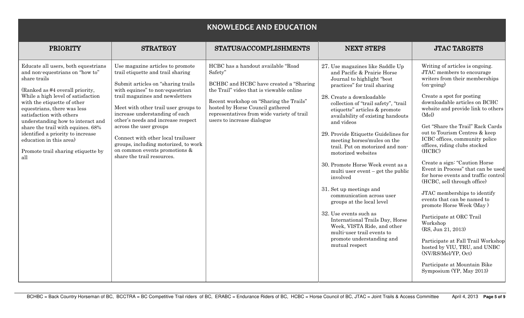|                                                                                                                                                                                                                                                                                                                                                                                                                                                  |                                                                                                                                                                                                                                                                                                                                                                                                                                                                              | <b>KNOWLEDGE AND EDUCATION</b>                                                                                                                                                                                                                                                                  |                                                                                                                                                                                                                                                                                                                                                                                                                                                                                                                                                                                                                                                                                                                                                                              |                                                                                                                                                                                                                                                                                                                                                                                                                                                                                                                                                                                                                                                                                                                                                                                                                                                      |
|--------------------------------------------------------------------------------------------------------------------------------------------------------------------------------------------------------------------------------------------------------------------------------------------------------------------------------------------------------------------------------------------------------------------------------------------------|------------------------------------------------------------------------------------------------------------------------------------------------------------------------------------------------------------------------------------------------------------------------------------------------------------------------------------------------------------------------------------------------------------------------------------------------------------------------------|-------------------------------------------------------------------------------------------------------------------------------------------------------------------------------------------------------------------------------------------------------------------------------------------------|------------------------------------------------------------------------------------------------------------------------------------------------------------------------------------------------------------------------------------------------------------------------------------------------------------------------------------------------------------------------------------------------------------------------------------------------------------------------------------------------------------------------------------------------------------------------------------------------------------------------------------------------------------------------------------------------------------------------------------------------------------------------------|------------------------------------------------------------------------------------------------------------------------------------------------------------------------------------------------------------------------------------------------------------------------------------------------------------------------------------------------------------------------------------------------------------------------------------------------------------------------------------------------------------------------------------------------------------------------------------------------------------------------------------------------------------------------------------------------------------------------------------------------------------------------------------------------------------------------------------------------------|
| <b>PRIORITY</b>                                                                                                                                                                                                                                                                                                                                                                                                                                  | <b>STRATEGY</b>                                                                                                                                                                                                                                                                                                                                                                                                                                                              | STATUS/ACCOMPLISHMENTS                                                                                                                                                                                                                                                                          | <b>NEXT STEPS</b>                                                                                                                                                                                                                                                                                                                                                                                                                                                                                                                                                                                                                                                                                                                                                            | <b>JTAC TARGETS</b>                                                                                                                                                                                                                                                                                                                                                                                                                                                                                                                                                                                                                                                                                                                                                                                                                                  |
| Educate all users, both equestrians<br>and non-equestrians on "how to"<br>share trails<br>(Ranked as #4 overall priority,<br>While a high level of satisfaction<br>with the etiquette of other<br>equestrians, there was less<br>satisfaction with others<br>understanding how to interact and<br>share the trail with equines. 68%<br>identified a priority to increase<br>education in this area)<br>Promote trail sharing etiquette by<br>all | Use magazine articles to promote<br>trail etiquette and trail sharing<br>Submit articles on "sharing trails"<br>with equines" to non-equestrian<br>trail magazines and newsletters<br>Meet with other trail user groups to<br>increase understanding of each<br>other's needs and increase respect<br>across the user groups<br>Connect with other local trailuser<br>groups, including motorized, to work<br>on common events promotions $\&$<br>share the trail resources. | HCBC has a handout available "Road<br>Safety"<br>BCHBC and HCBC have created a "Sharing"<br>the Trail" video that is viewable online<br>Recent workshop on "Sharing the Trails"<br>hosted by Horse Council gathered<br>representatives from wide variety of trail<br>users to increase dialogue | 27. Use magazines like Saddle Up<br>and Pacific & Prairie Horse<br>Journal to highlight "best"<br>practices" for trail sharing<br>28. Create a downloadable<br>collection of "trail safety", "trail<br>etiquette" articles & promote<br>availability of existing handouts<br>and videos<br>29. Provide Etiquette Guidelines for<br>meeting horses/mules on the<br>trail. Put on motorized and non-<br>motorized websites<br>30. Promote Horse Week event as a<br>multi user event – get the public<br>involved<br>31. Set up meetings and<br>communication across user<br>groups at the local level<br>32. Use events such as<br>International Trails Day, Horse<br>Week, VISTA Ride, and other<br>multi-user trail events to<br>promote understanding and<br>mutual respect | Writing of articles is ongoing.<br>JTAC members to encourage<br>writers from their memberships<br>$(on\text{-going})$<br>Create a spot for posting<br>downloadable articles on BCHC<br>website and provide link to others<br>(Mel)<br>Get "Share the Trail" Rack Cards<br>out to Tourism Centres & keep<br>ICBC offices, community police<br>offices, riding clubs stocked<br>(HCBC)<br>Create a sign: "Caution Horse<br>Event in Process" that can be used<br>for horse events and traffic control<br>(HCBC, sell through office)<br>JTAC memberships to identify<br>events that can be named to<br>promote Horse Week (May)<br>Participate at ORC Trail<br>Workshop<br>(RS, Jun 21, 2013)<br>Participate at Fall Trail Workshop<br>hosted by VIU, TRU, and UNBC<br>(NV/RS/Mel/YP, Oct)<br>Participate at Mountain Bike<br>Symposium (YP, May 2013) |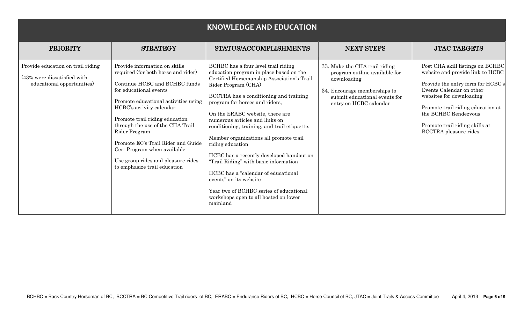| <b>KNOWLEDGE AND EDUCATION</b>                                                                 |                                                                                                                                                                                                                                                                                                                                                                                                                                       |                                                                                                                                                                                                                                                                                                                                                                                                                                                                                                                                                                                                                                                                          |                                                                                                                                                                          |                                                                                                                                                                                                                                                                                            |
|------------------------------------------------------------------------------------------------|---------------------------------------------------------------------------------------------------------------------------------------------------------------------------------------------------------------------------------------------------------------------------------------------------------------------------------------------------------------------------------------------------------------------------------------|--------------------------------------------------------------------------------------------------------------------------------------------------------------------------------------------------------------------------------------------------------------------------------------------------------------------------------------------------------------------------------------------------------------------------------------------------------------------------------------------------------------------------------------------------------------------------------------------------------------------------------------------------------------------------|--------------------------------------------------------------------------------------------------------------------------------------------------------------------------|--------------------------------------------------------------------------------------------------------------------------------------------------------------------------------------------------------------------------------------------------------------------------------------------|
| <b>PRIORITY</b>                                                                                | <b>STRATEGY</b>                                                                                                                                                                                                                                                                                                                                                                                                                       | STATUS/ACCOMPLISHMENTS                                                                                                                                                                                                                                                                                                                                                                                                                                                                                                                                                                                                                                                   | <b>NEXT STEPS</b>                                                                                                                                                        | <b>JTAC TARGETS</b>                                                                                                                                                                                                                                                                        |
| Provide education on trail riding<br>(43% were dissatisfied with<br>educational opportunities) | Provide information on skills<br>required (for both horse and rider)<br>Continue HCBC and BCHBC funds<br>for educational events<br>Promote educational activities using<br>HCBC's activity calendar<br>Promote trail riding education<br>through the use of the CHA Trail<br>Rider Program<br>Promote EC's Trail Rider and Guide<br>Cert Program when available<br>Use group rides and pleasure rides<br>to emphasize trail education | BCHBC has a four level trail riding<br>education program in place based on the<br>Certified Horsemanship Association's Trail<br>Rider Program (CHA)<br>BCCTRA has a conditioning and training<br>program for horses and riders,<br>On the ERABC website, there are<br>numerous articles and links on<br>conditioning, training, and trail etiquette.<br>Member organizations all promote trail<br>riding education<br>HCBC has a recently developed handout on<br>"Trail Riding" with basic information<br>HCBC has a "calendar of educational<br>events" on its website<br>Year two of BCHBC series of educational<br>workshops open to all hosted on lower<br>mainland | 33. Make the CHA trail riding<br>program outline available for<br>downloading<br>34. Encourage memberships to<br>submit educational events for<br>entry on HCBC calendar | Post CHA skill listings on BCHBC<br>website and provide link to HCBC<br>Provide the entry form for HCBC's<br>Events Calendar on other<br>websites for downloading<br>Promote trail riding education at<br>the BCHBC Rendezvous<br>Promote trail riding skills at<br>BCCTRA pleasure rides. |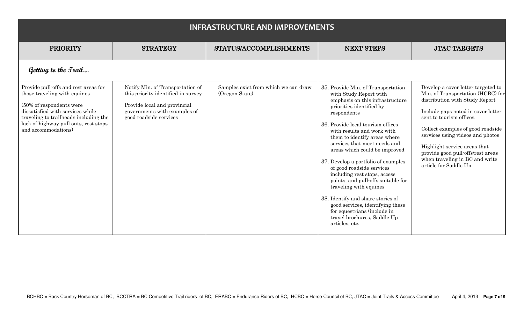| <b>INFRASTRUCTURE AND IMPROVEMENTS</b>                                                                                                                                                                                                        |                                                                                                                                                                  |                                                        |                                                                                                                                                                                                                                                                                                                                                                                                                                                                                                                                                                                                                                             |                                                                                                                                                                                                                                                                                                                                                                                      |
|-----------------------------------------------------------------------------------------------------------------------------------------------------------------------------------------------------------------------------------------------|------------------------------------------------------------------------------------------------------------------------------------------------------------------|--------------------------------------------------------|---------------------------------------------------------------------------------------------------------------------------------------------------------------------------------------------------------------------------------------------------------------------------------------------------------------------------------------------------------------------------------------------------------------------------------------------------------------------------------------------------------------------------------------------------------------------------------------------------------------------------------------------|--------------------------------------------------------------------------------------------------------------------------------------------------------------------------------------------------------------------------------------------------------------------------------------------------------------------------------------------------------------------------------------|
| <b>PRIORITY</b>                                                                                                                                                                                                                               | <b>STRATEGY</b>                                                                                                                                                  | STATUS/ACCOMPLISHMENTS                                 | <b>NEXT STEPS</b>                                                                                                                                                                                                                                                                                                                                                                                                                                                                                                                                                                                                                           | <b>JTAC TARGETS</b>                                                                                                                                                                                                                                                                                                                                                                  |
| Getting to the <i>Trail</i>                                                                                                                                                                                                                   |                                                                                                                                                                  |                                                        |                                                                                                                                                                                                                                                                                                                                                                                                                                                                                                                                                                                                                                             |                                                                                                                                                                                                                                                                                                                                                                                      |
| Provide pull-offs and rest areas for<br>those traveling with equines<br>(50% of respondents were<br>dissatisfied with services while<br>traveling to trailheads including the<br>lack of highway pull outs, rest stops<br>and accommodations) | Notify Min. of Transportation of<br>this priority identified in survey<br>Provide local and provincial<br>governments with examples of<br>good roadside services | Samples exist from which we can draw<br>(Oregon State) | 35. Provide Min. of Transportation<br>with Study Report with<br>emphasis on this infrastructure<br>priorities identified by<br>respondents<br>36. Provide local tourism offices<br>with results and work with<br>them to identify areas where<br>services that meet needs and<br>areas which could be improved<br>37. Develop a portfolio of examples<br>of good roadside services<br>including rest stops, access<br>points, and pull-offs suitable for<br>traveling with equines<br>38. Identify and share stories of<br>good services, identifying these<br>for equestrians (include in<br>travel brochures, Saddle Up<br>articles, etc. | Develop a cover letter targeted to<br>Min. of Transportation (HCBC) for<br>distribution with Study Report<br>Include gaps noted in cover letter<br>sent to tourism offices.<br>Collect examples of good roadside<br>services using videos and photos<br>Highlight service areas that<br>provide good pull-offs/rest areas<br>when traveling in BC and write<br>article for Saddle Up |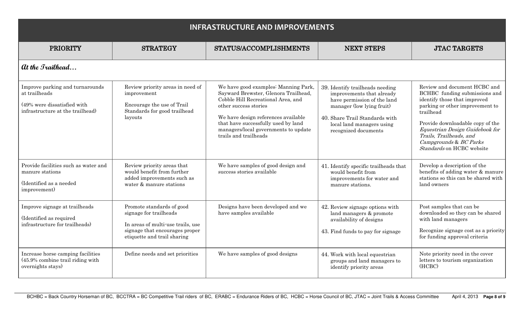| <b>INFRASTRUCTURE AND IMPROVEMENTS</b>                                                                              |                                                                                                                                                           |                                                                                                                                                                                                                                                                                            |                                                                                                                                                                                                                 |                                                                                                                                                                                                                                                                                                        |
|---------------------------------------------------------------------------------------------------------------------|-----------------------------------------------------------------------------------------------------------------------------------------------------------|--------------------------------------------------------------------------------------------------------------------------------------------------------------------------------------------------------------------------------------------------------------------------------------------|-----------------------------------------------------------------------------------------------------------------------------------------------------------------------------------------------------------------|--------------------------------------------------------------------------------------------------------------------------------------------------------------------------------------------------------------------------------------------------------------------------------------------------------|
| <b>PRIORITY</b>                                                                                                     | <b>STRATEGY</b>                                                                                                                                           | STATUS/ACCOMPLISHMENTS                                                                                                                                                                                                                                                                     | <b>NEXT STEPS</b>                                                                                                                                                                                               | <b>JTAC TARGETS</b>                                                                                                                                                                                                                                                                                    |
| <i>at the Irailhead</i>                                                                                             |                                                                                                                                                           |                                                                                                                                                                                                                                                                                            |                                                                                                                                                                                                                 |                                                                                                                                                                                                                                                                                                        |
| Improve parking and turnarounds<br>at trailheads<br>(49% were dissatisfied with<br>infrastructure at the trailhead) | Review priority areas in need of<br>improvement<br>Encourage the use of Trail<br>Standards for good trailhead<br>layouts                                  | We have good examples: Manning Park,<br>Sayward Brewster, Glenora Trailhead,<br>Cobble Hill Recreational Area, and<br>other success stories<br>We have design references available<br>that have successfully used by land<br>managers/local governments to update<br>trails and trailheads | 39. Identify trailheads needing<br>improvements that already<br>have permission of the land<br>manager (low lying fruit)<br>40. Share Trail Standards with<br>local land managers using<br>recognized documents | Review and document HCBC and<br>BCHBC funding submissions and<br>identify those that improved<br>parking or other improvement to<br>trailhead<br>Provide downloadable copy of the<br>Equestrian Design Guidebook for<br>Trails, Trailheads, and<br>Campgrounds & BC Parks<br>Standards on HCBC website |
| Provide facilities such as water and<br>manure stations<br>(Identified as a needed<br>improvement)                  | Review priority areas that<br>would benefit from further<br>added improvements such as<br>water & manure stations                                         | We have samples of good design and<br>success stories available                                                                                                                                                                                                                            | 41. Identify specific trailheads that<br>would benefit from<br>improvements for water and<br>manure stations.                                                                                                   | Develop a description of the<br>benefits of adding water & manure<br>stations so this can be shared with<br>land owners                                                                                                                                                                                |
| Improve signage at trailheads<br>(Identified as required<br>infrastructure for trailheads)                          | Promote standards of good<br>signage for trailheads<br>In areas of multi-use trails, use<br>signage that encourages proper<br>etiquette and trail sharing | Designs have been developed and we<br>have samples available                                                                                                                                                                                                                               | 42. Review signage options with<br>land managers & promote<br>availability of designs<br>43. Find funds to pay for signage                                                                                      | Post samples that can be<br>downloaded so they can be shared<br>with land managers<br>Recognize signage cost as a priority<br>for funding approval criteria                                                                                                                                            |
| Increase horse camping facilities<br>$(45.9\%$ combine trail riding with<br>overnights stays)                       | Define needs and set priorities                                                                                                                           | We have samples of good designs                                                                                                                                                                                                                                                            | 44. Work with local equestrian<br>groups and land managers to<br>identify priority areas                                                                                                                        | Note priority need in the cover<br>letters to tourism organization<br>(HCBC)                                                                                                                                                                                                                           |